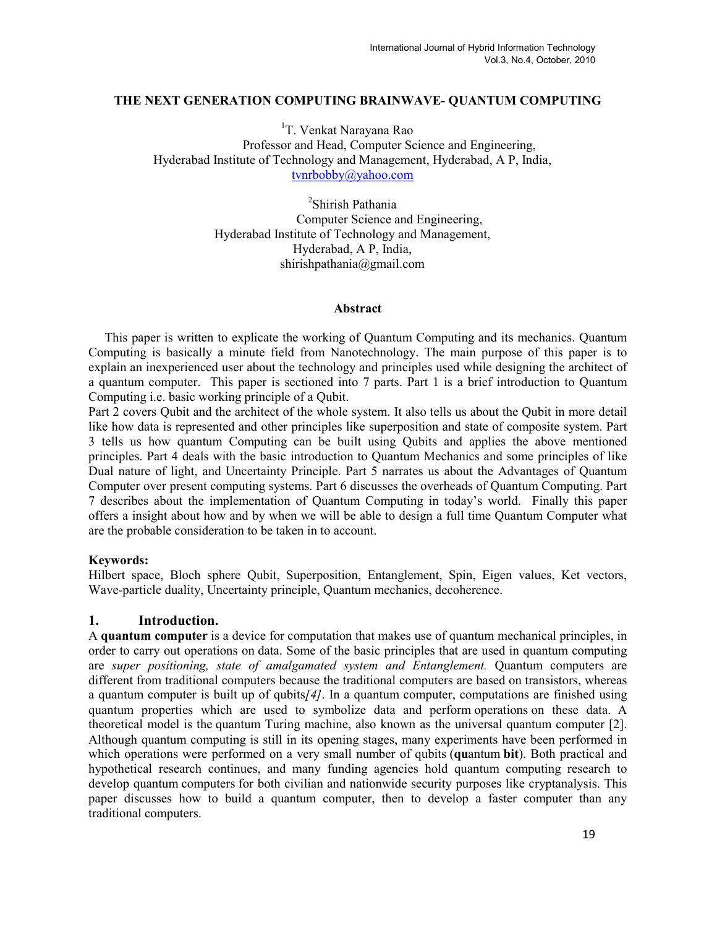#### THE NEXT GENERATION COMPUTING BRAINWAVE- QUANTUM COMPUTING

<sup>1</sup>T. Venkat Narayana Rao Professor and Head, Computer Science and Engineering, Hyderabad Institute of Technology and Management, Hyderabad, A P, India, tvnrbobby@yahoo.com

> 2 Shirish Pathania Computer Science and Engineering, Hyderabad Institute of Technology and Management, Hyderabad, A P, India, shirishpathania@gmail.com

#### Abstract

 This paper is written to explicate the working of Quantum Computing and its mechanics. Quantum Computing is basically a minute field from Nanotechnology. The main purpose of this paper is to explain an inexperienced user about the technology and principles used while designing the architect of a quantum computer. This paper is sectioned into 7 parts. Part 1 is a brief introduction to Quantum Computing i.e. basic working principle of a Qubit.

Part 2 covers Qubit and the architect of the whole system. It also tells us about the Qubit in more detail like how data is represented and other principles like superposition and state of composite system. Part 3 tells us how quantum Computing can be built using Qubits and applies the above mentioned principles. Part 4 deals with the basic introduction to Quantum Mechanics and some principles of like Dual nature of light, and Uncertainty Principle. Part 5 narrates us about the Advantages of Quantum Computer over present computing systems. Part 6 discusses the overheads of Quantum Computing. Part 7 describes about the implementation of Quantum Computing in today's world. Finally this paper offers a insight about how and by when we will be able to design a full time Quantum Computer what are the probable consideration to be taken in to account.

#### Keywords:

Hilbert space, Bloch sphere Qubit, Superposition, Entanglement, Spin, Eigen values, Ket vectors, Wave-particle duality, Uncertainty principle, Quantum mechanics, decoherence.

#### 1. Introduction.

A quantum computer is a device for computation that makes use of quantum mechanical principles, in order to carry out operations on data. Some of the basic principles that are used in quantum computing are super positioning, state of amalgamated system and Entanglement. Quantum computers are different from traditional computers because the traditional computers are based on transistors, whereas a quantum computer is built up of qubits $/4$ . In a quantum computer, computations are finished using quantum properties which are used to symbolize data and perform operations on these data. A theoretical model is the quantum Turing machine, also known as the universal quantum computer [2]. Although quantum computing is still in its opening stages, many experiments have been performed in which operations were performed on a very small number of qubits (quantum bit). Both practical and hypothetical research continues, and many funding agencies hold quantum computing research to develop quantum computers for both civilian and nationwide security purposes like cryptanalysis. This paper discusses how to build a quantum computer, then to develop a faster computer than any traditional computers.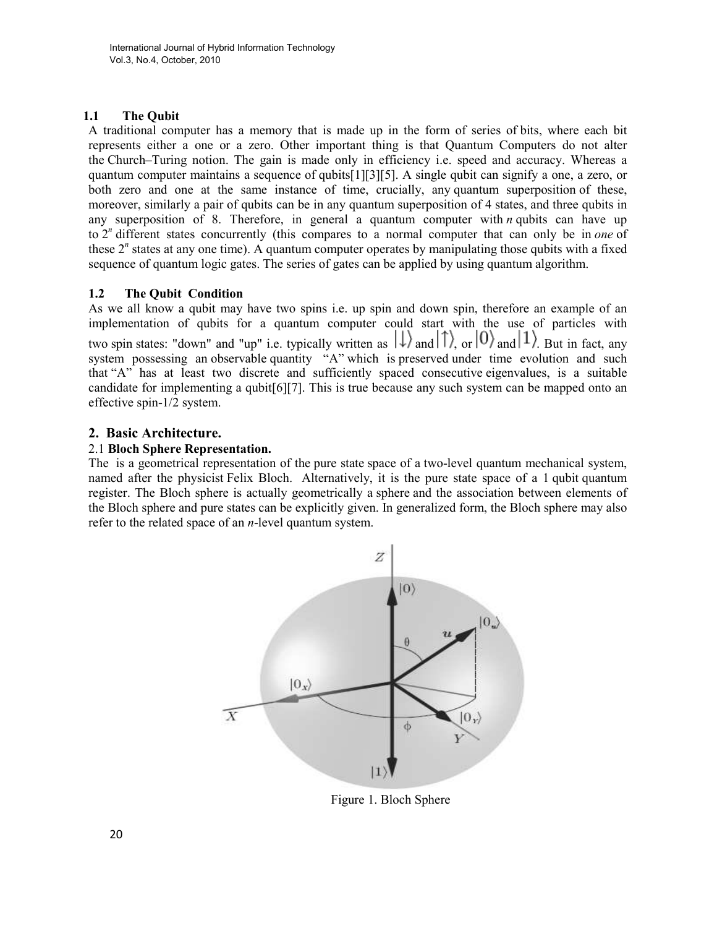## 1.1 The Qubit

A traditional computer has a memory that is made up in the form of series of bits, where each bit represents either a one or a zero. Other important thing is that Quantum Computers do not alter the Church–Turing notion. The gain is made only in efficiency i.e. speed and accuracy. Whereas a quantum computer maintains a sequence of qubits[1][3][5]. A single qubit can signify a one, a zero, or both zero and one at the same instance of time, crucially, any quantum superposition of these, moreover, similarly a pair of qubits can be in any quantum superposition of 4 states, and three qubits in any superposition of 8. Therefore, in general a quantum computer with  $n$  qubits can have up to  $2<sup>n</sup>$  different states concurrently (this compares to a normal computer that can only be in one of these  $2<sup>n</sup>$  states at any one time). A quantum computer operates by manipulating those qubits with a fixed sequence of quantum logic gates. The series of gates can be applied by using quantum algorithm.

## 1.2 The Qubit Condition

As we all know a qubit may have two spins i.e. up spin and down spin, therefore an example of an implementation of qubits for a quantum computer could start with the use of particles with two spin states: "down" and "up" i.e. typically written as  $|\downarrow\rangle$  and  $|1\rangle$ , or  $|0\rangle$  and  $|1\rangle$ . But in fact, any system possessing an observable quantity "A" which is preserved under time evolution and such that "A" has at least two discrete and sufficiently spaced consecutive eigenvalues, is a suitable candidate for implementing a qubit[6][7]. This is true because any such system can be mapped onto an effective spin-1/2 system.

## 2. Basic Architecture.

## 2.1 Bloch Sphere Representation.

The is a geometrical representation of the pure state space of a two-level quantum mechanical system, named after the physicist Felix Bloch. Alternatively, it is the pure state space of a 1 qubit quantum register. The Bloch sphere is actually geometrically a sphere and the association between elements of the Bloch sphere and pure states can be explicitly given. In generalized form, the Bloch sphere may also refer to the related space of an  $n$ -level quantum system.



Figure 1. Bloch Sphere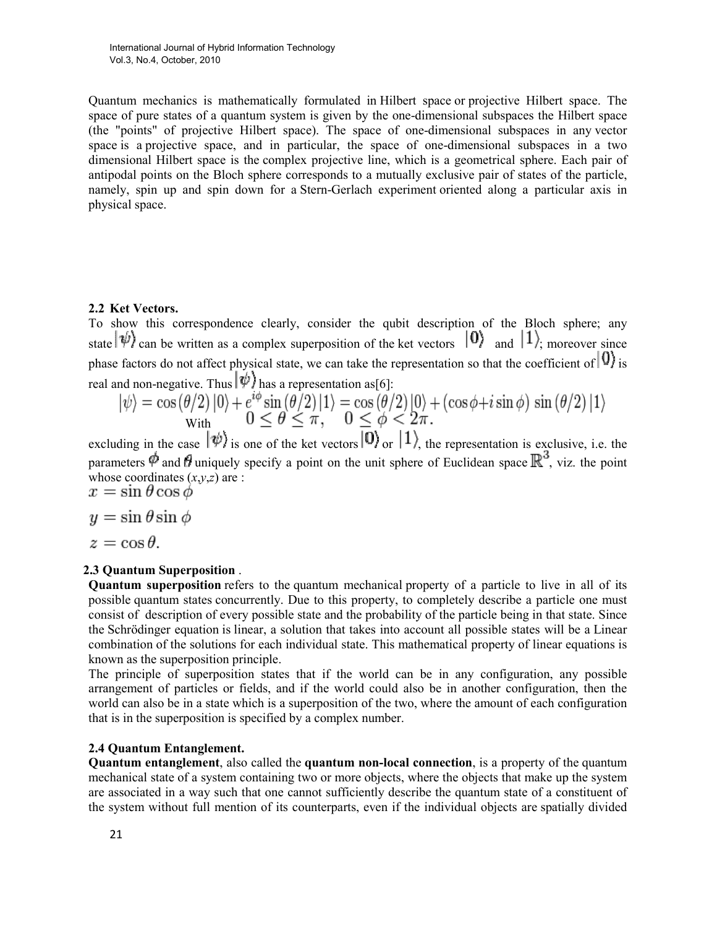Quantum mechanics is mathematically formulated in Hilbert space or projective Hilbert space. The space of pure states of a quantum system is given by the one-dimensional subspaces the Hilbert space (the "points" of projective Hilbert space). The space of one-dimensional subspaces in any vector space is a projective space, and in particular, the space of one-dimensional subspaces in a two dimensional Hilbert space is the complex projective line, which is a geometrical sphere. Each pair of antipodal points on the Bloch sphere corresponds to a mutually exclusive pair of states of the particle, namely, spin up and spin down for a Stern-Gerlach experiment oriented along a particular axis in physical space.

#### 2.2 Ket Vectors.

To show this correspondence clearly, consider the qubit description of the Bloch sphere; any state  $|\psi\rangle$  can be written as a complex superposition of the ket vectors  $|0\rangle$  and  $|1\rangle$ ; moreover since phase factors do not affect physical state, we can take the representation so that the coefficient of  $|0\rangle$  is real and non-negative. Thus  $|\psi\rangle$  has a representation as [6]:

$$
|\psi\rangle = \cos(\theta/2)|0\rangle + e^{i\phi}\sin(\theta/2)|1\rangle = \cos(\theta/2)|0\rangle + (\cos\phi + i\sin\phi)\sin(\theta/2)|1\rangle
$$
  
With  

$$
0 \le \theta \le \pi, \quad 0 \le \phi < 2\pi.
$$

excluding in the case  $|\psi\rangle$  is one of the ket vectors  $|0\rangle$  or  $|1\rangle$ , the representation is exclusive, i.e. the parameters  $\phi$  and  $\theta$  uniquely specify a point on the unit sphere of Euclidean space  $\mathbb{R}^3$ , viz. the point whose coordinates  $(x,y,z)$  are :<br>  $x = \sin \theta \cos \phi$ 

$$
y = \sin \theta \sin \phi
$$

 $z = \cos \theta$ .

#### 2.3 Quantum Superposition .

Quantum superposition refers to the quantum mechanical property of a particle to live in all of its possible quantum states concurrently. Due to this property, to completely describe a particle one must consist of description of every possible state and the probability of the particle being in that state. Since the Schrödinger equation is linear, a solution that takes into account all possible states will be a Linear combination of the solutions for each individual state. This mathematical property of linear equations is known as the superposition principle.

The principle of superposition states that if the world can be in any configuration, any possible arrangement of particles or fields, and if the world could also be in another configuration, then the world can also be in a state which is a superposition of the two, where the amount of each configuration that is in the superposition is specified by a complex number.

#### 2.4 Quantum Entanglement.

Quantum entanglement, also called the quantum non-local connection, is a property of the quantum mechanical state of a system containing two or more objects, where the objects that make up the system are associated in a way such that one cannot sufficiently describe the quantum state of a constituent of the system without full mention of its counterparts, even if the individual objects are spatially divided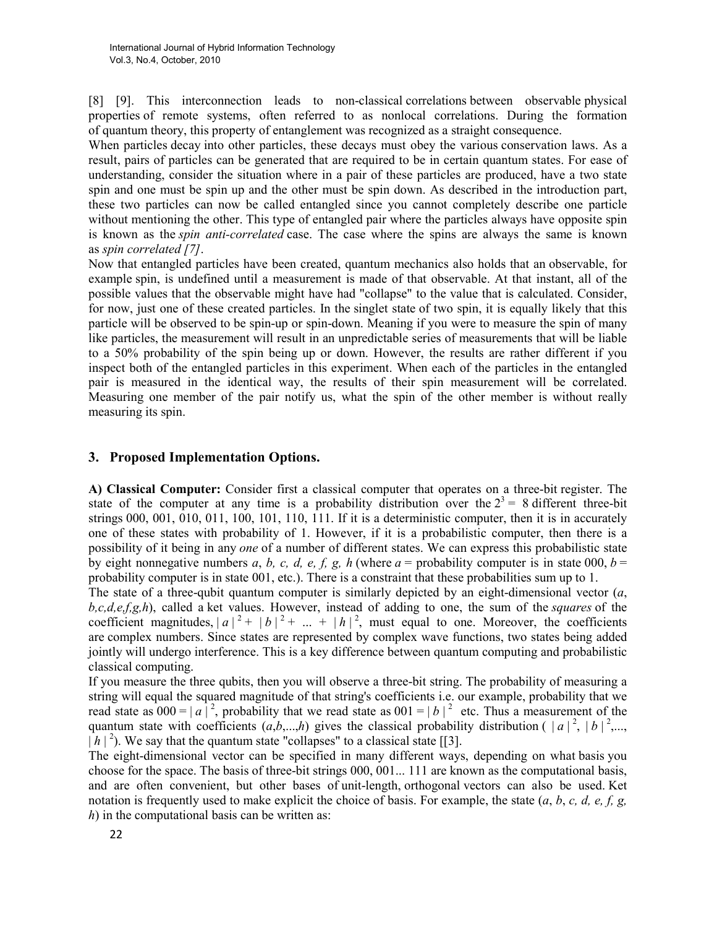[8] [9]. This interconnection leads to non-classical correlations between observable physical properties of remote systems, often referred to as nonlocal correlations. During the formation of quantum theory, this property of entanglement was recognized as a straight consequence.

When particles decay into other particles, these decays must obey the various conservation laws. As a result, pairs of particles can be generated that are required to be in certain quantum states. For ease of understanding, consider the situation where in a pair of these particles are produced, have a two state spin and one must be spin up and the other must be spin down. As described in the introduction part, these two particles can now be called entangled since you cannot completely describe one particle without mentioning the other. This type of entangled pair where the particles always have opposite spin is known as the spin anti-correlated case. The case where the spins are always the same is known as spin correlated [7].

Now that entangled particles have been created, quantum mechanics also holds that an observable, for example spin, is undefined until a measurement is made of that observable. At that instant, all of the possible values that the observable might have had "collapse" to the value that is calculated. Consider, for now, just one of these created particles. In the singlet state of two spin, it is equally likely that this particle will be observed to be spin-up or spin-down. Meaning if you were to measure the spin of many like particles, the measurement will result in an unpredictable series of measurements that will be liable to a 50% probability of the spin being up or down. However, the results are rather different if you inspect both of the entangled particles in this experiment. When each of the particles in the entangled pair is measured in the identical way, the results of their spin measurement will be correlated. Measuring one member of the pair notify us, what the spin of the other member is without really measuring its spin.

### 3. Proposed Implementation Options.

A) Classical Computer: Consider first a classical computer that operates on a three-bit register. The state of the computer at any time is a probability distribution over the  $2^3 = 8$  different three-bit strings 000, 001, 010, 011, 100, 101, 110, 111. If it is a deterministic computer, then it is in accurately one of these states with probability of 1. However, if it is a probabilistic computer, then there is a possibility of it being in any one of a number of different states. We can express this probabilistic state by eight nonnegative numbers a, b, c, d, e, f, g, h (where  $a =$  probability computer is in state 000,  $b =$ probability computer is in state 001, etc.). There is a constraint that these probabilities sum up to 1.

The state of a three-qubit quantum computer is similarly depicted by an eight-dimensional vector  $(a, a)$  $b, c, d, e, f, g, h$ , called a ket values. However, instead of adding to one, the sum of the squares of the coefficient magnitudes,  $|a|^2 + |b|^2 + ... + |b|^2$ , must equal to one. Moreover, the coefficients are complex numbers. Since states are represented by complex wave functions, two states being added jointly will undergo interference. This is a key difference between quantum computing and probabilistic classical computing.

If you measure the three qubits, then you will observe a three-bit string. The probability of measuring a string will equal the squared magnitude of that string's coefficients i.e. our example, probability that we read state as  $000 = |a|^2$ , probability that we read state as  $001 = |b|^2$  etc. Thus a measurement of the quantum state with coefficients  $(a,b,...,h)$  gives the classical probability distribution ( $|a|^2, |b|^2,...$  $|h|^2$ ). We say that the quantum state "collapses" to a classical state [[3].

The eight-dimensional vector can be specified in many different ways, depending on what basis you choose for the space. The basis of three-bit strings 000, 001... 111 are known as the computational basis, and are often convenient, but other bases of unit-length, orthogonal vectors can also be used. Ket notation is frequently used to make explicit the choice of basis. For example, the state  $(a, b, c, d, e, f, g, g)$  $h$ ) in the computational basis can be written as: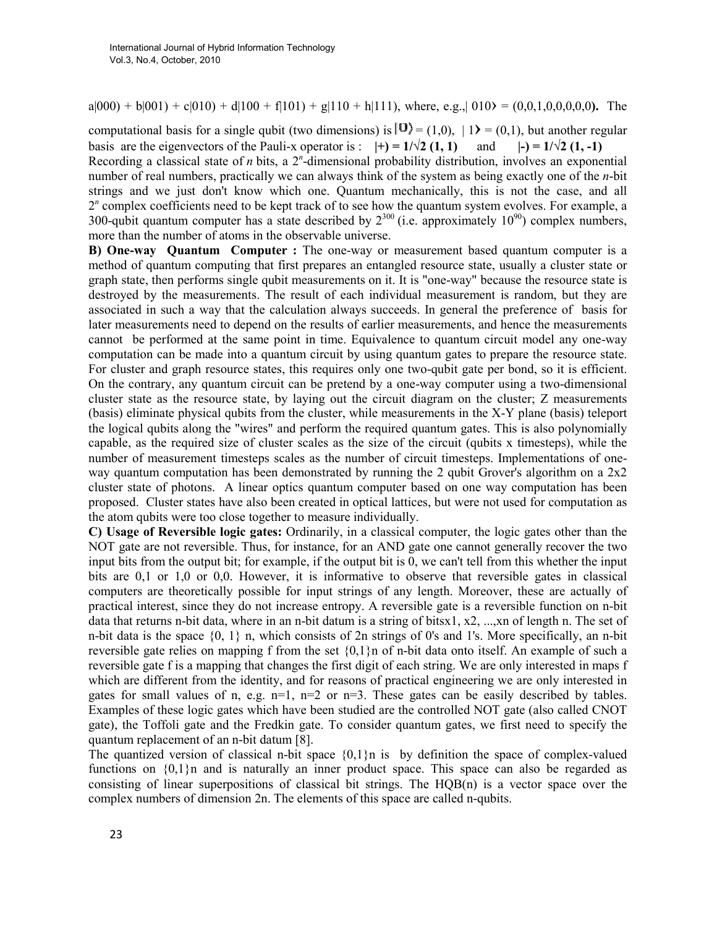$a|000\rangle + b|001\rangle + c|010\rangle + d|100\rangle + f|101\rangle + g|110\rangle + h|111\rangle$ , where, e.g.,  $|010\rangle = (0,0,1,0,0,0,0,0)$ . The

computational basis for a single qubit (two dimensions) is  $|0\rangle = (1,0), |1\rangle = (0,1)$ , but another regular basis are the eigenvectors of the Pauli-x operator is :  $|+\rangle = 1/\sqrt{2} (1, 1)$  and  $|-\rangle = 1/\sqrt{2} (1, -1)$ Recording a classical state of  $n$  bits, a  $2<sup>n</sup>$ -dimensional probability distribution, involves an exponential number of real numbers, practically we can always think of the system as being exactly one of the n-bit strings and we just don't know which one. Quantum mechanically, this is not the case, and all 2<sup>n</sup> complex coefficients need to be kept track of to see how the quantum system evolves. For example, a 300-qubit quantum computer has a state described by  $2^{300}$  (i.e. approximately  $10^{90}$ ) complex numbers, more than the number of atoms in the observable universe.

B) One-way Quantum Computer : The one-way or measurement based quantum computer is a method of quantum computing that first prepares an entangled resource state, usually a cluster state or graph state, then performs single qubit measurements on it. It is "one-way" because the resource state is destroyed by the measurements. The result of each individual measurement is random, but they are associated in such a way that the calculation always succeeds. In general the preference of basis for later measurements need to depend on the results of earlier measurements, and hence the measurements cannot be performed at the same point in time. Equivalence to quantum circuit model any one-way computation can be made into a quantum circuit by using quantum gates to prepare the resource state. For cluster and graph resource states, this requires only one two-qubit gate per bond, so it is efficient. On the contrary, any quantum circuit can be pretend by a one-way computer using a two-dimensional cluster state as the resource state, by laying out the circuit diagram on the cluster; Z measurements (basis) eliminate physical qubits from the cluster, while measurements in the X-Y plane (basis) teleport the logical qubits along the "wires" and perform the required quantum gates. This is also polynomially capable, as the required size of cluster scales as the size of the circuit (qubits x timesteps), while the number of measurement timesteps scales as the number of circuit timesteps. Implementations of oneway quantum computation has been demonstrated by running the 2 qubit Grover's algorithm on a 2x2 cluster state of photons. A linear optics quantum computer based on one way computation has been proposed. Cluster states have also been created in optical lattices, but were not used for computation as the atom qubits were too close together to measure individually.

C) Usage of Reversible logic gates: Ordinarily, in a classical computer, the logic gates other than the NOT gate are not reversible. Thus, for instance, for an AND gate one cannot generally recover the two input bits from the output bit; for example, if the output bit is 0, we can't tell from this whether the input bits are 0,1 or 1,0 or 0,0. However, it is informative to observe that reversible gates in classical computers are theoretically possible for input strings of any length. Moreover, these are actually of practical interest, since they do not increase entropy. A reversible gate is a reversible function on n-bit data that returns n-bit data, where in an n-bit datum is a string of bitsx1, x2, ...,xn of length n. The set of n-bit data is the space  $\{0, 1\}$  n, which consists of 2n strings of 0's and 1's. More specifically, an n-bit reversible gate relies on mapping f from the set {0,1}n of n-bit data onto itself. An example of such a reversible gate f is a mapping that changes the first digit of each string. We are only interested in maps f which are different from the identity, and for reasons of practical engineering we are only interested in gates for small values of n, e.g.  $n=1$ ,  $n=2$  or  $n=3$ . These gates can be easily described by tables. Examples of these logic gates which have been studied are the controlled NOT gate (also called CNOT gate), the Toffoli gate and the Fredkin gate. To consider quantum gates, we first need to specify the quantum replacement of an n-bit datum [8].

The quantized version of classical n-bit space  $\{0,1\}$ n is by definition the space of complex-valued functions on  $\{0,1\}$ n and is naturally an inner product space. This space can also be regarded as consisting of linear superpositions of classical bit strings. The HQB(n) is a vector space over the complex numbers of dimension 2n. The elements of this space are called n-qubits.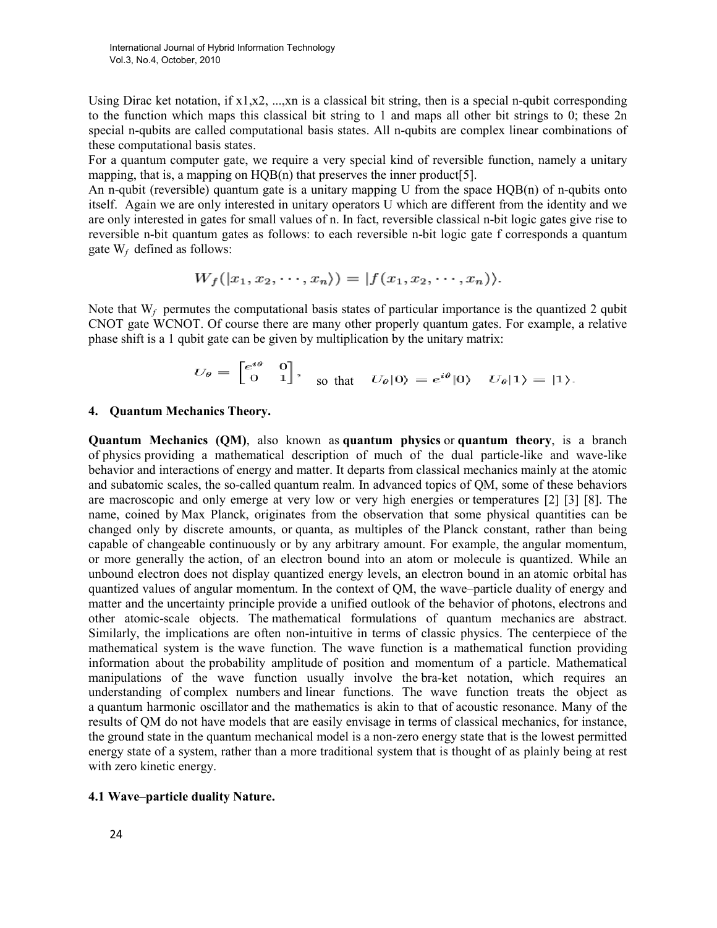Using Dirac ket notation, if  $x1, x2, \dots, xn$  is a classical bit string, then is a special n-qubit corresponding to the function which maps this classical bit string to 1 and maps all other bit strings to 0; these 2n special n-qubits are called computational basis states. All n-qubits are complex linear combinations of these computational basis states.

For a quantum computer gate, we require a very special kind of reversible function, namely a unitary mapping, that is, a mapping on HQB(n) that preserves the inner product [5].

An n-qubit (reversible) quantum gate is a unitary mapping U from the space  $HOB(n)$  of n-qubits onto itself. Again we are only interested in unitary operators U which are different from the identity and we are only interested in gates for small values of n. In fact, reversible classical n-bit logic gates give rise to reversible n-bit quantum gates as follows: to each reversible n-bit logic gate f corresponds a quantum gate  $W_f$  defined as follows:

$$
W_f([x_1, x_2, \cdots, x_n)) = |f(x_1, x_2, \cdots, x_n)\rangle.
$$

Note that  $W_f$  permutes the computational basis states of particular importance is the quantized 2 qubit CNOT gate WCNOT. Of course there are many other properly quantum gates. For example, a relative phase shift is a 1 qubit gate can be given by multiplication by the unitary matrix:

$$
U_{\theta} = \begin{bmatrix} e^{i\theta} & 0 \\ 0 & 1 \end{bmatrix}, \quad \text{so that} \quad U_{\theta} |0\rangle = e^{i\theta} |0\rangle \quad U_{\theta} |1\rangle = |1\rangle.
$$

#### 4. Quantum Mechanics Theory.

Quantum Mechanics (QM), also known as quantum physics or quantum theory, is a branch of physics providing a mathematical description of much of the dual particle-like and wave-like behavior and interactions of energy and matter. It departs from classical mechanics mainly at the atomic and subatomic scales, the so-called quantum realm. In advanced topics of QM, some of these behaviors are macroscopic and only emerge at very low or very high energies or temperatures [2] [3] [8]. The name, coined by Max Planck, originates from the observation that some physical quantities can be changed only by discrete amounts, or quanta, as multiples of the Planck constant, rather than being capable of changeable continuously or by any arbitrary amount. For example, the angular momentum, or more generally the action, of an electron bound into an atom or molecule is quantized. While an unbound electron does not display quantized energy levels, an electron bound in an atomic orbital has quantized values of angular momentum. In the context of QM, the wave–particle duality of energy and matter and the uncertainty principle provide a unified outlook of the behavior of photons, electrons and other atomic-scale objects. The mathematical formulations of quantum mechanics are abstract. Similarly, the implications are often non-intuitive in terms of classic physics. The centerpiece of the mathematical system is the wave function. The wave function is a mathematical function providing information about the probability amplitude of position and momentum of a particle. Mathematical manipulations of the wave function usually involve the bra-ket notation, which requires an understanding of complex numbers and linear functions. The wave function treats the object as a quantum harmonic oscillator and the mathematics is akin to that of acoustic resonance. Many of the results of QM do not have models that are easily envisage in terms of classical mechanics, for instance, the ground state in the quantum mechanical model is a non-zero energy state that is the lowest permitted energy state of a system, rather than a more traditional system that is thought of as plainly being at rest with zero kinetic energy.

#### 4.1 Wave–particle duality Nature.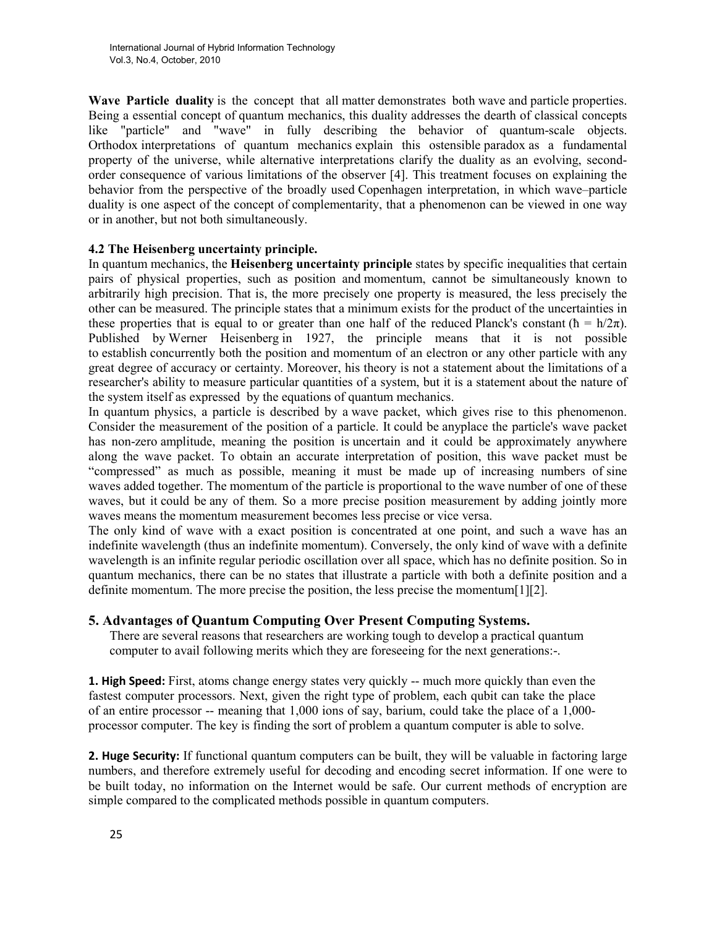Wave Particle duality is the concept that all matter demonstrates both wave and particle properties. Being a essential concept of quantum mechanics, this duality addresses the dearth of classical concepts like "particle" and "wave" in fully describing the behavior of quantum-scale objects. Orthodox interpretations of quantum mechanics explain this ostensible paradox as a fundamental property of the universe, while alternative interpretations clarify the duality as an evolving, secondorder consequence of various limitations of the observer [4]. This treatment focuses on explaining the behavior from the perspective of the broadly used Copenhagen interpretation, in which wave–particle duality is one aspect of the concept of complementarity, that a phenomenon can be viewed in one way or in another, but not both simultaneously.

## 4.2 The Heisenberg uncertainty principle.

In quantum mechanics, the Heisenberg uncertainty principle states by specific inequalities that certain pairs of physical properties, such as position and momentum, cannot be simultaneously known to arbitrarily high precision. That is, the more precisely one property is measured, the less precisely the other can be measured. The principle states that a minimum exists for the product of the uncertainties in these properties that is equal to or greater than one half of the reduced Planck's constant ( $\hbar = h/2\pi$ ). Published by Werner Heisenberg in 1927, the principle means that it is not possible to establish concurrently both the position and momentum of an electron or any other particle with any great degree of accuracy or certainty. Moreover, his theory is not a statement about the limitations of a researcher's ability to measure particular quantities of a system, but it is a statement about the nature of the system itself as expressed by the equations of quantum mechanics.

In quantum physics, a particle is described by a wave packet, which gives rise to this phenomenon. Consider the measurement of the position of a particle. It could be anyplace the particle's wave packet has non-zero amplitude, meaning the position is uncertain and it could be approximately anywhere along the wave packet. To obtain an accurate interpretation of position, this wave packet must be "compressed" as much as possible, meaning it must be made up of increasing numbers of sine waves added together. The momentum of the particle is proportional to the wave number of one of these waves, but it could be any of them. So a more precise position measurement by adding jointly more waves means the momentum measurement becomes less precise or vice versa.

The only kind of wave with a exact position is concentrated at one point, and such a wave has an indefinite wavelength (thus an indefinite momentum). Conversely, the only kind of wave with a definite wavelength is an infinite regular periodic oscillation over all space, which has no definite position. So in quantum mechanics, there can be no states that illustrate a particle with both a definite position and a definite momentum. The more precise the position, the less precise the momentum[1][2].

## 5. Advantages of Quantum Computing Over Present Computing Systems.

There are several reasons that researchers are working tough to develop a practical quantum computer to avail following merits which they are foreseeing for the next generations:-.

**1. High Speed:** First, atoms change energy states very quickly -- much more quickly than even the fastest computer processors. Next, given the right type of problem, each qubit can take the place of an entire processor -- meaning that 1,000 ions of say, barium, could take the place of a 1,000 processor computer. The key is finding the sort of problem a quantum computer is able to solve.

2. Huge Security: If functional quantum computers can be built, they will be valuable in factoring large numbers, and therefore extremely useful for decoding and encoding secret information. If one were to be built today, no information on the Internet would be safe. Our current methods of encryption are simple compared to the complicated methods possible in quantum computers.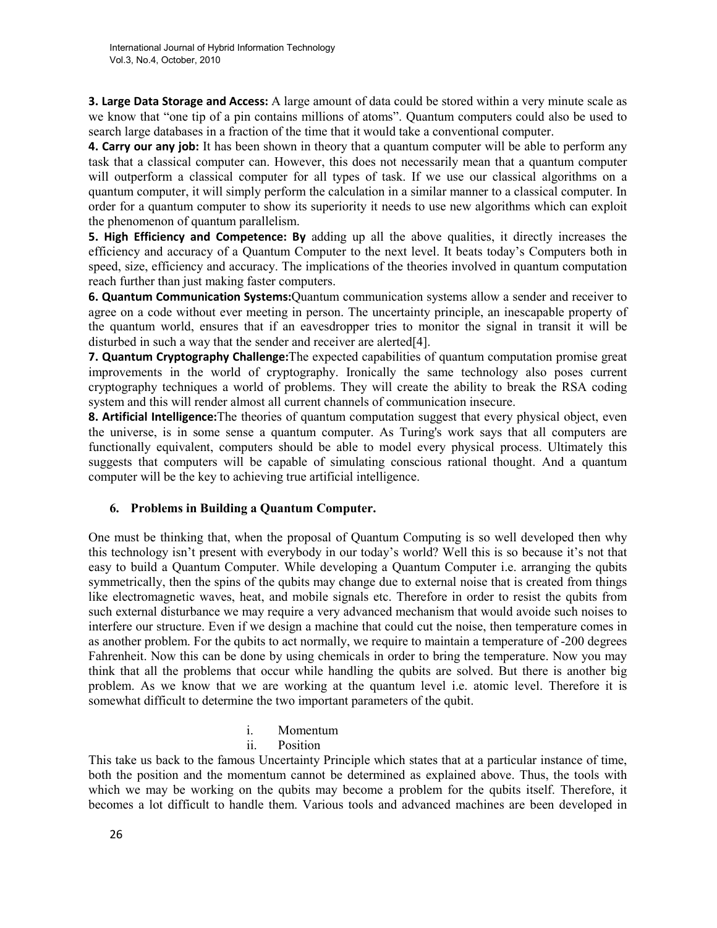**3. Large Data Storage and Access:** A large amount of data could be stored within a very minute scale as we know that "one tip of a pin contains millions of atoms". Quantum computers could also be used to search large databases in a fraction of the time that it would take a conventional computer.

**4. Carry our any job:** It has been shown in theory that a quantum computer will be able to perform any task that a classical computer can. However, this does not necessarily mean that a quantum computer will outperform a classical computer for all types of task. If we use our classical algorithms on a quantum computer, it will simply perform the calculation in a similar manner to a classical computer. In order for a quantum computer to show its superiority it needs to use new algorithms which can exploit the phenomenon of quantum parallelism.

5. High Efficiency and Competence: By adding up all the above qualities, it directly increases the efficiency and accuracy of a Quantum Computer to the next level. It beats today's Computers both in speed, size, efficiency and accuracy. The implications of the theories involved in quantum computation reach further than just making faster computers.

6. Quantum Communication Systems:Quantum communication systems allow a sender and receiver to agree on a code without ever meeting in person. The uncertainty principle, an inescapable property of the quantum world, ensures that if an eavesdropper tries to monitor the signal in transit it will be disturbed in such a way that the sender and receiver are alerted<sup>[4]</sup>.

7. Quantum Cryptography Challenge:The expected capabilities of quantum computation promise great improvements in the world of cryptography. Ironically the same technology also poses current cryptography techniques a world of problems. They will create the ability to break the RSA coding system and this will render almost all current channels of communication insecure.

8. Artificial Intelligence: The theories of quantum computation suggest that every physical object, even the universe, is in some sense a quantum computer. As Turing's work says that all computers are functionally equivalent, computers should be able to model every physical process. Ultimately this suggests that computers will be capable of simulating conscious rational thought. And a quantum computer will be the key to achieving true artificial intelligence.

#### 6. Problems in Building a Quantum Computer.

One must be thinking that, when the proposal of Quantum Computing is so well developed then why this technology isn't present with everybody in our today's world? Well this is so because it's not that easy to build a Quantum Computer. While developing a Quantum Computer i.e. arranging the qubits symmetrically, then the spins of the qubits may change due to external noise that is created from things like electromagnetic waves, heat, and mobile signals etc. Therefore in order to resist the qubits from such external disturbance we may require a very advanced mechanism that would avoide such noises to interfere our structure. Even if we design a machine that could cut the noise, then temperature comes in as another problem. For the qubits to act normally, we require to maintain a temperature of -200 degrees Fahrenheit. Now this can be done by using chemicals in order to bring the temperature. Now you may think that all the problems that occur while handling the qubits are solved. But there is another big problem. As we know that we are working at the quantum level i.e. atomic level. Therefore it is somewhat difficult to determine the two important parameters of the qubit.

- i. Momentum
- ii. Position

This take us back to the famous Uncertainty Principle which states that at a particular instance of time, both the position and the momentum cannot be determined as explained above. Thus, the tools with which we may be working on the qubits may become a problem for the qubits itself. Therefore, it becomes a lot difficult to handle them. Various tools and advanced machines are been developed in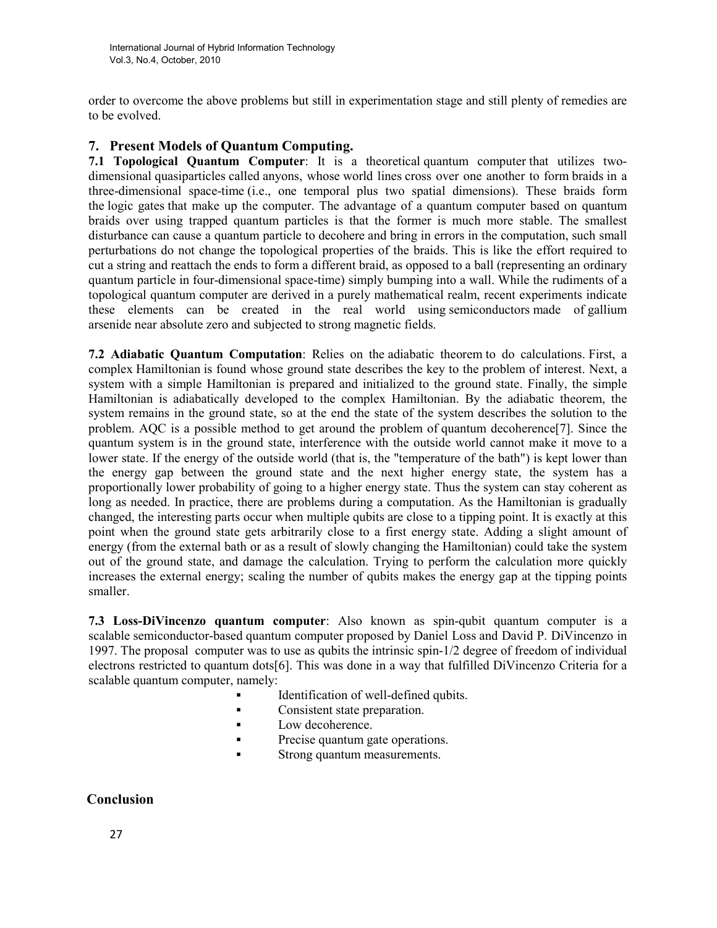order to overcome the above problems but still in experimentation stage and still plenty of remedies are to be evolved.

## 7. Present Models of Quantum Computing.

7.1 Topological Quantum Computer: It is a theoretical quantum computer that utilizes twodimensional quasiparticles called anyons, whose world lines cross over one another to form braids in a three-dimensional space-time (i.e., one temporal plus two spatial dimensions). These braids form the logic gates that make up the computer. The advantage of a quantum computer based on quantum braids over using trapped quantum particles is that the former is much more stable. The smallest disturbance can cause a quantum particle to decohere and bring in errors in the computation, such small perturbations do not change the topological properties of the braids. This is like the effort required to cut a string and reattach the ends to form a different braid, as opposed to a ball (representing an ordinary quantum particle in four-dimensional space-time) simply bumping into a wall. While the rudiments of a topological quantum computer are derived in a purely mathematical realm, recent experiments indicate these elements can be created in the real world using semiconductors made of gallium arsenide near absolute zero and subjected to strong magnetic fields.

7.2 Adiabatic Quantum Computation: Relies on the adiabatic theorem to do calculations. First, a complex Hamiltonian is found whose ground state describes the key to the problem of interest. Next, a system with a simple Hamiltonian is prepared and initialized to the ground state. Finally, the simple Hamiltonian is adiabatically developed to the complex Hamiltonian. By the adiabatic theorem, the system remains in the ground state, so at the end the state of the system describes the solution to the problem. AQC is a possible method to get around the problem of quantum decoherence[7]. Since the quantum system is in the ground state, interference with the outside world cannot make it move to a lower state. If the energy of the outside world (that is, the "temperature of the bath") is kept lower than the energy gap between the ground state and the next higher energy state, the system has a proportionally lower probability of going to a higher energy state. Thus the system can stay coherent as long as needed. In practice, there are problems during a computation. As the Hamiltonian is gradually changed, the interesting parts occur when multiple qubits are close to a tipping point. It is exactly at this point when the ground state gets arbitrarily close to a first energy state. Adding a slight amount of energy (from the external bath or as a result of slowly changing the Hamiltonian) could take the system out of the ground state, and damage the calculation. Trying to perform the calculation more quickly increases the external energy; scaling the number of qubits makes the energy gap at the tipping points smaller.

7.3 Loss-DiVincenzo quantum computer: Also known as spin-qubit quantum computer is a scalable semiconductor-based quantum computer proposed by Daniel Loss and David P. DiVincenzo in 1997. The proposal computer was to use as qubits the intrinsic spin-1/2 degree of freedom of individual electrons restricted to quantum dots[6]. This was done in a way that fulfilled DiVincenzo Criteria for a scalable quantum computer, namely:

- Identification of well-defined qubits.
- Consistent state preparation.
- Low decoherence.
- **Precise quantum gate operations.**
- **Strong quantum measurements.**

# Conclusion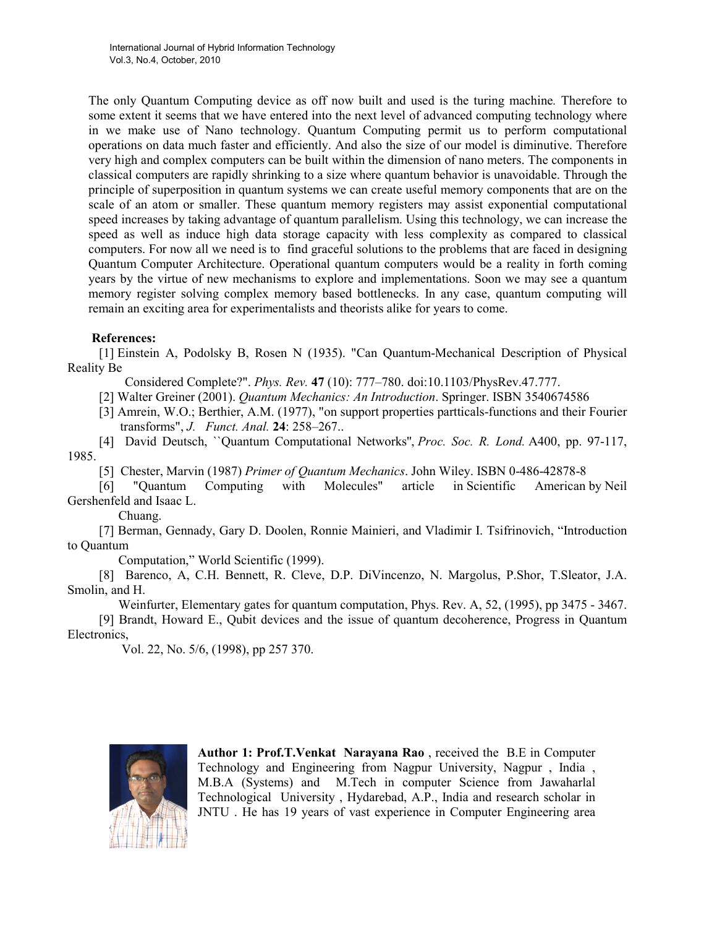The only Quantum Computing device as off now built and used is the turing machine. Therefore to some extent it seems that we have entered into the next level of advanced computing technology where in we make use of Nano technology. Quantum Computing permit us to perform computational operations on data much faster and efficiently. And also the size of our model is diminutive. Therefore very high and complex computers can be built within the dimension of nano meters. The components in classical computers are rapidly shrinking to a size where quantum behavior is unavoidable. Through the principle of superposition in quantum systems we can create useful memory components that are on the scale of an atom or smaller. These quantum memory registers may assist exponential computational speed increases by taking advantage of quantum parallelism. Using this technology, we can increase the speed as well as induce high data storage capacity with less complexity as compared to classical computers. For now all we need is to find graceful solutions to the problems that are faced in designing Quantum Computer Architecture. Operational quantum computers would be a reality in forth coming years by the virtue of new mechanisms to explore and implementations. Soon we may see a quantum memory register solving complex memory based bottlenecks. In any case, quantum computing will remain an exciting area for experimentalists and theorists alike for years to come.

## References:

[1] Einstein A, Podolsky B, Rosen N (1935). "Can Quantum-Mechanical Description of Physical Reality Be

Considered Complete?". Phys. Rev. 47 (10): 777–780. doi:10.1103/PhysRev.47.777.

[2] Walter Greiner (2001). Quantum Mechanics: An Introduction. Springer. ISBN 3540674586

[3] Amrein, W.O.; Berthier, A.M. (1977), "on support properties partticals-functions and their Fourier transforms", J. Funct. Anal. 24: 258–267..

[4] David Deutsch, ``Quantum Computational Networks'', Proc. Soc. R. Lond. A400, pp. 97-117, 1985.

[5] Chester, Marvin (1987) Primer of Quantum Mechanics. John Wiley. ISBN 0-486-42878-8

[6] "Quantum Computing with Molecules" article in Scientific American by Neil Gershenfeld and Isaac L.

Chuang.

[7] Berman, Gennady, Gary D. Doolen, Ronnie Mainieri, and Vladimir I. Tsifrinovich, "Introduction to Quantum

Computation," World Scientific (1999).

[8] Barenco, A, C.H. Bennett, R. Cleve, D.P. DiVincenzo, N. Margolus, P.Shor, T.Sleator, J.A. Smolin, and H.

 Weinfurter, Elementary gates for quantum computation, Phys. Rev. A, 52, (1995), pp 3475 - 3467. [9] Brandt, Howard E., Qubit devices and the issue of quantum decoherence, Progress in Quantum Electronics,

Vol. 22, No. 5/6, (1998), pp 257 370.



Author 1: Prof.T.Venkat Narayana Rao , received the B.E in Computer Technology and Engineering from Nagpur University, Nagpur , India , M.B.A (Systems) and M.Tech in computer Science from Jawaharlal Technological University , Hydarebad, A.P., India and research scholar in JNTU . He has 19 years of vast experience in Computer Engineering area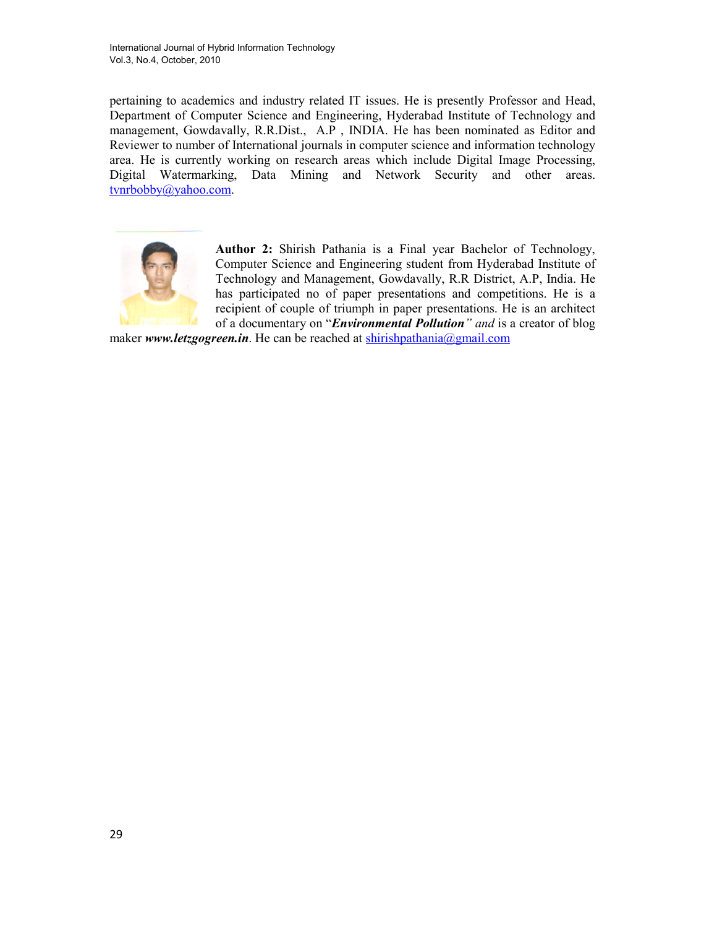pertaining to academics and industry related IT issues. He is presently Professor and Head, Department of Computer Science and Engineering, Hyderabad Institute of Technology and management, Gowdavally, R.R.Dist., A.P , INDIA. He has been nominated as Editor and Reviewer to number of International journals in computer science and information technology area. He is currently working on research areas which include Digital Image Processing, Digital Watermarking, Data Mining and Network Security and other areas. tvnrbobby@yahoo.com.



Author 2: Shirish Pathania is a Final year Bachelor of Technology, Computer Science and Engineering student from Hyderabad Institute of Technology and Management, Gowdavally, R.R District, A.P, India. He has participated no of paper presentations and competitions. He is a recipient of couple of triumph in paper presentations. He is an architect of a documentary on "*Environmental Pollution*" and is a creator of blog

maker www.letzgogreen.in. He can be reached at shirishpathania@gmail.com